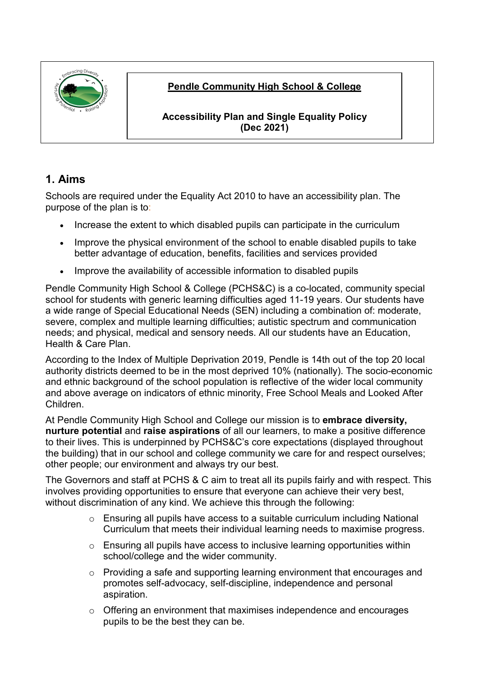

### **Pendle Community High School & College**

**Accessibility Plan and Single Equality Policy (Dec 2021)**

## **1. Aims**

Schools are required under the Equality Act 2010 to have an accessibility plan. The purpose of the plan is to:

- Increase the extent to which disabled pupils can participate in the curriculum
- Improve the physical environment of the school to enable disabled pupils to take better advantage of education, benefits, facilities and services provided
- Improve the availability of accessible information to disabled pupils

Pendle Community High School & College (PCHS&C) is a co-located, community special school for students with generic learning difficulties aged 11-19 years. Our students have a wide range of Special Educational Needs (SEN) including a combination of: moderate, severe, complex and multiple learning difficulties; autistic spectrum and communication needs; and physical, medical and sensory needs. All our students have an Education, Health & Care Plan.

According to the Index of Multiple Deprivation 2019, Pendle is 14th out of the top 20 local authority districts deemed to be in the most deprived 10% (nationally). The socio-economic and ethnic background of the school population is reflective of the wider local community and above average on indicators of ethnic minority, Free School Meals and Looked After Children.

At Pendle Community High School and College our mission is to **embrace diversity, nurture potential** and **raise aspirations** of all our learners, to make a positive difference to their lives. This is underpinned by PCHS&C's core expectations (displayed throughout the building) that in our school and college community we care for and respect ourselves; other people; our environment and always try our best.

The Governors and staff at PCHS & C aim to treat all its pupils fairly and with respect. This involves providing opportunities to ensure that everyone can achieve their very best, without discrimination of any kind. We achieve this through the following:

- $\circ$  Ensuring all pupils have access to a suitable curriculum including National Curriculum that meets their individual learning needs to maximise progress.
- $\circ$  Ensuring all pupils have access to inclusive learning opportunities within school/college and the wider community.
- $\circ$  Providing a safe and supporting learning environment that encourages and promotes self-advocacy, self-discipline, independence and personal aspiration.
- o Offering an environment that maximises independence and encourages pupils to be the best they can be.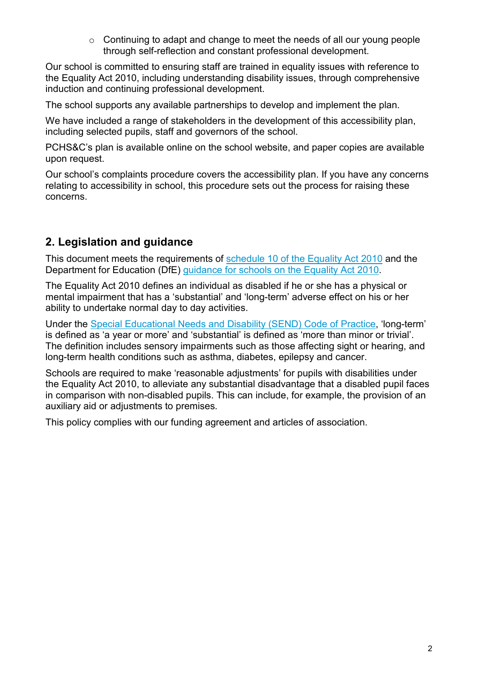$\circ$  Continuing to adapt and change to meet the needs of all our young people through self-reflection and constant professional development.

Our school is committed to ensuring staff are trained in equality issues with reference to the Equality Act 2010, including understanding disability issues, through comprehensive induction and continuing professional development.

The school supports any available partnerships to develop and implement the plan.

We have included a range of stakeholders in the development of this accessibility plan, including selected pupils, staff and governors of the school.

PCHS&C's plan is available online on the school website, and paper copies are available upon request.

Our school's complaints procedure covers the accessibility plan. If you have any concerns relating to accessibility in school, this procedure sets out the process for raising these concerns.

## **2. Legislation and guidance**

This document meets the requirements of [schedule 10 of the Equality Act 2010](http://www.legislation.gov.uk/ukpga/2010/15/schedule/10) and the Department for Education (DfE) [guidance for schools on the Equality Act 2010.](https://www.gov.uk/government/publications/equality-act-2010-advice-for-schools)

The Equality Act 2010 defines an individual as disabled if he or she has a physical or mental impairment that has a 'substantial' and 'long-term' adverse effect on his or her ability to undertake normal day to day activities.

Under the [Special Educational Needs and Disability \(SEND\) Code of Practice,](https://www.gov.uk/government/publications/send-code-of-practice-0-to-25) 'long-term' is defined as 'a year or more' and 'substantial' is defined as 'more than minor or trivial'. The definition includes sensory impairments such as those affecting sight or hearing, and long-term health conditions such as asthma, diabetes, epilepsy and cancer.

Schools are required to make 'reasonable adjustments' for pupils with disabilities under the Equality Act 2010, to alleviate any substantial disadvantage that a disabled pupil faces in comparison with non-disabled pupils. This can include, for example, the provision of an auxiliary aid or adjustments to premises.

This policy complies with our funding agreement and articles of association.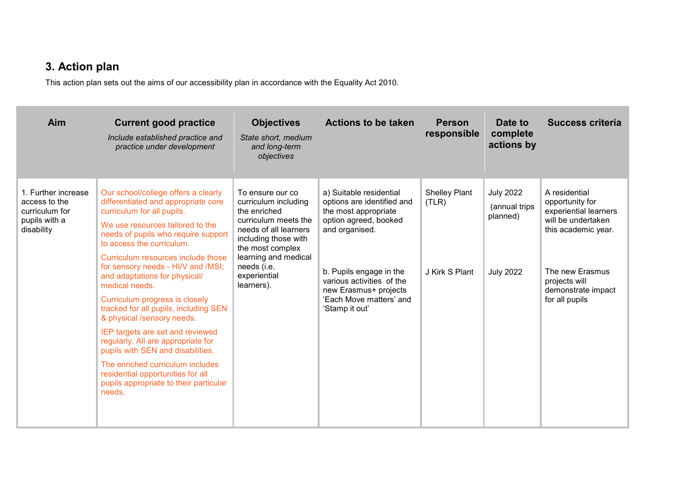# **3. Action plan**

This action plan sets out the aims of our accessibility plan in accordance with the Equality Act 2010.

| Aim                                                                                   | <b>Current good practice</b><br>Include established practice and<br>practice under development                                                                                                                                                                                                                                                                                                                                                                                                                                                                                                                                                                                                       | <b>Objectives</b><br>State short, medium<br>and long-term<br>objectives                                                                                                                                                    | <b>Actions to be taken</b>                                                                                                                                                                                                                             | <b>Person</b><br>responsible                    | Date to<br>complete<br>actions by                                 | Success criteria                                                                                                                                                                   |
|---------------------------------------------------------------------------------------|------------------------------------------------------------------------------------------------------------------------------------------------------------------------------------------------------------------------------------------------------------------------------------------------------------------------------------------------------------------------------------------------------------------------------------------------------------------------------------------------------------------------------------------------------------------------------------------------------------------------------------------------------------------------------------------------------|----------------------------------------------------------------------------------------------------------------------------------------------------------------------------------------------------------------------------|--------------------------------------------------------------------------------------------------------------------------------------------------------------------------------------------------------------------------------------------------------|-------------------------------------------------|-------------------------------------------------------------------|------------------------------------------------------------------------------------------------------------------------------------------------------------------------------------|
| 1. Further increase<br>access to the<br>curriculum for<br>pupils with a<br>disability | Our school/college offers a clearly<br>differentiated and appropriate core<br>curriculum for all pupils.<br>We use resources tailored to the<br>needs of pupils who require support<br>to access the curriculum.<br>Curriculum resources include those<br>for sensory needs - HI/V and /MSI;<br>and adaptations for physical/<br>medical needs.<br>Curriculum progress is closely<br>tracked for all pupils, including SEN<br>& physical /sensory needs.<br>IEP targets are set and reviewed<br>regularly. All are appropriate for<br>pupils with SEN and disabilities.<br>The enriched curriculum includes<br>residential opportunities for all<br>pupils appropriate to their particular<br>needs. | To ensure our co<br>curriculum including<br>the enriched<br>curriculum meets the<br>needs of all learners<br>including those with<br>the most complex<br>learning and medical<br>needs (i.e.<br>experiential<br>learners). | a) Suitable residential<br>options are identified and<br>the most appropriate<br>option agreed, booked<br>and organised.<br>b. Pupils engage in the<br>various activities of the<br>new Erasmus+ projects<br>'Each Move matters' and<br>'Stamp it out' | <b>Shelley Plant</b><br>(TLR)<br>J Kirk S Plant | <b>July 2022</b><br>(annual trips<br>planned)<br><b>July 2022</b> | A residential<br>opportunity for<br>experiential learners<br>will be undertaken<br>this academic year.<br>The new Erasmus<br>projects will<br>demonstrate impact<br>for all pupils |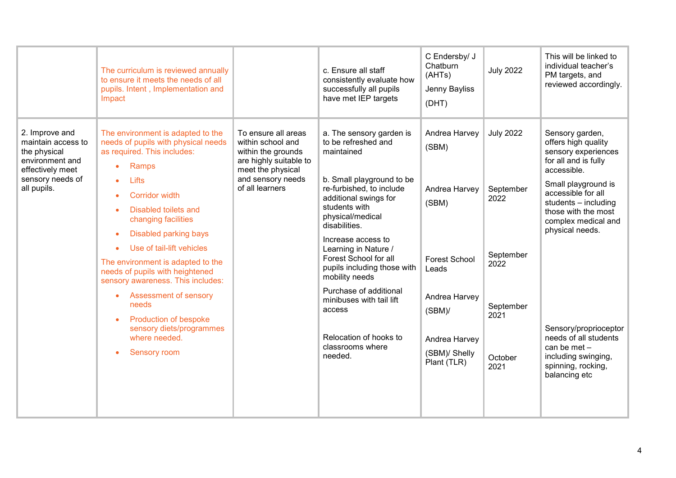|                                                                                                                                | The curriculum is reviewed annually<br>to ensure it meets the needs of all<br>pupils. Intent, Implementation and<br>Impact                                                                                                                                                                                                                                                                                                                                                                                                                                                                     |                                                                                                                                                       | c. Ensure all staff<br>consistently evaluate how<br>successfully all pupils<br>have met IEP targets                                                                                                                                                                                                                                                                                                                                                    | C Endersby/ J<br>Chatburn<br>(AHTs)<br>Jenny Bayliss<br>(DHT)                                                                                                | <b>July 2022</b>                                                                                   | This will be linked to<br>individual teacher's<br>PM targets, and<br>reviewed accordingly.                                                                                                                                                                                                                                                                                   |
|--------------------------------------------------------------------------------------------------------------------------------|------------------------------------------------------------------------------------------------------------------------------------------------------------------------------------------------------------------------------------------------------------------------------------------------------------------------------------------------------------------------------------------------------------------------------------------------------------------------------------------------------------------------------------------------------------------------------------------------|-------------------------------------------------------------------------------------------------------------------------------------------------------|--------------------------------------------------------------------------------------------------------------------------------------------------------------------------------------------------------------------------------------------------------------------------------------------------------------------------------------------------------------------------------------------------------------------------------------------------------|--------------------------------------------------------------------------------------------------------------------------------------------------------------|----------------------------------------------------------------------------------------------------|------------------------------------------------------------------------------------------------------------------------------------------------------------------------------------------------------------------------------------------------------------------------------------------------------------------------------------------------------------------------------|
| 2. Improve and<br>maintain access to<br>the physical<br>environment and<br>effectively meet<br>sensory needs of<br>all pupils. | The environment is adapted to the<br>needs of pupils with physical needs<br>as required. This includes:<br>Ramps<br>$\bullet$<br>Lifts<br><b>Corridor width</b><br>Disabled toilets and<br>$\bullet$<br>changing facilities<br><b>Disabled parking bays</b><br>$\bullet$<br>Use of tail-lift vehicles<br>۰<br>The environment is adapted to the<br>needs of pupils with heightened<br>sensory awareness. This includes:<br><b>Assessment of sensory</b><br>$\bullet$<br>needs<br><b>Production of bespoke</b><br>$\bullet$<br>sensory diets/programmes<br>where needed.<br><b>Sensory room</b> | To ensure all areas<br>within school and<br>within the grounds<br>are highly suitable to<br>meet the physical<br>and sensory needs<br>of all learners | a. The sensory garden is<br>to be refreshed and<br>maintained<br>b. Small playground to be<br>re-furbished, to include<br>additional swings for<br>students with<br>physical/medical<br>disabilities.<br>Increase access to<br>Learning in Nature /<br>Forest School for all<br>pupils including those with<br>mobility needs<br>Purchase of additional<br>minibuses with tail lift<br>access<br>Relocation of hooks to<br>classrooms where<br>needed. | Andrea Harvey<br>(SBM)<br>Andrea Harvey<br>(SBM)<br><b>Forest School</b><br>Leads<br>Andrea Harvey<br>(SBM)<br>Andrea Harvey<br>(SBM)/ Shelly<br>Plant (TLR) | <b>July 2022</b><br>September<br>2022<br>September<br>2022<br>September<br>2021<br>October<br>2021 | Sensory garden,<br>offers high quality<br>sensory experiences<br>for all and is fully<br>accessible.<br>Small playground is<br>accessible for all<br>students - including<br>those with the most<br>complex medical and<br>physical needs.<br>Sensory/proprioceptor<br>needs of all students<br>can be met $-$<br>including swinging,<br>spinning, rocking,<br>balancing etc |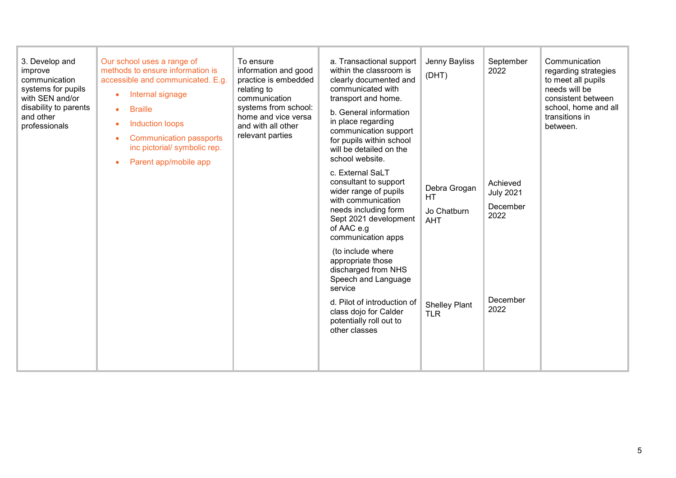| 3. Develop and<br>improve<br>communication<br>systems for pupils<br>with SEN and/or<br>disability to parents<br>and other<br>professionals | Our school uses a range of<br>methods to ensure information is<br>accessible and communicated. E.g.<br>Internal signage<br>$\bullet$<br><b>Braille</b><br>$\bullet$<br><b>Induction loops</b><br><b>Communication passports</b><br>$\bullet$<br>inc pictorial/ symbolic rep.<br>Parent app/mobile app<br>$\bullet$ | To ensure<br>information and good<br>practice is embedded<br>relating to<br>communication<br>systems from school:<br>home and vice versa<br>and with all other<br>relevant parties | a. Transactional support<br>within the classroom is<br>clearly documented and<br>communicated with<br>transport and home.<br>b. General information<br>in place regarding<br>communication support<br>for pupils within school<br>will be detailed on the<br>school website.<br>c. External SaLT<br>consultant to support<br>wider range of pupils<br>with communication<br>needs including form<br>Sept 2021 development<br>of AAC e.g<br>communication apps<br>(to include where<br>appropriate those<br>discharged from NHS<br>Speech and Language<br>service<br>d. Pilot of introduction of<br>class dojo for Calder<br>potentially roll out to<br>other classes | Jenny Bayliss<br>(DHT)<br>Debra Grogan<br><b>HT</b><br>Jo Chatburn<br><b>AHT</b><br><b>Shelley Plant</b><br><b>TLR</b> | September<br>2022<br>Achieved<br><b>July 2021</b><br>December<br>2022<br>December<br>2022 | Communication<br>regarding strategies<br>to meet all pupils<br>needs will be<br>consistent between<br>school, home and all<br>transitions in<br>between. |
|--------------------------------------------------------------------------------------------------------------------------------------------|--------------------------------------------------------------------------------------------------------------------------------------------------------------------------------------------------------------------------------------------------------------------------------------------------------------------|------------------------------------------------------------------------------------------------------------------------------------------------------------------------------------|----------------------------------------------------------------------------------------------------------------------------------------------------------------------------------------------------------------------------------------------------------------------------------------------------------------------------------------------------------------------------------------------------------------------------------------------------------------------------------------------------------------------------------------------------------------------------------------------------------------------------------------------------------------------|------------------------------------------------------------------------------------------------------------------------|-------------------------------------------------------------------------------------------|----------------------------------------------------------------------------------------------------------------------------------------------------------|
|--------------------------------------------------------------------------------------------------------------------------------------------|--------------------------------------------------------------------------------------------------------------------------------------------------------------------------------------------------------------------------------------------------------------------------------------------------------------------|------------------------------------------------------------------------------------------------------------------------------------------------------------------------------------|----------------------------------------------------------------------------------------------------------------------------------------------------------------------------------------------------------------------------------------------------------------------------------------------------------------------------------------------------------------------------------------------------------------------------------------------------------------------------------------------------------------------------------------------------------------------------------------------------------------------------------------------------------------------|------------------------------------------------------------------------------------------------------------------------|-------------------------------------------------------------------------------------------|----------------------------------------------------------------------------------------------------------------------------------------------------------|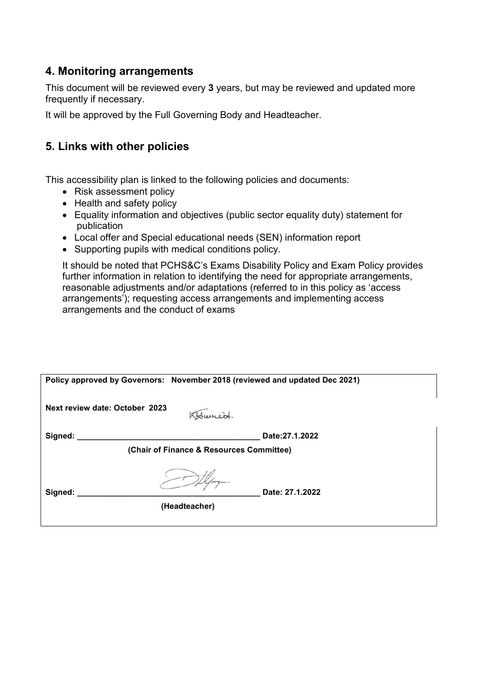#### **4. Monitoring arrangements**

This document will be reviewed every **3** years, but may be reviewed and updated more frequently if necessary.

It will be approved by the Full Governing Body and Headteacher.

### **5. Links with other policies**

This accessibility plan is linked to the following policies and documents:

- Risk assessment policy
- Health and safety policy
- Equality information and objectives (public sector equality duty) statement for publication
- Local offer and Special educational needs (SEN) information report
- Supporting pupils with medical conditions policy.

It should be noted that PCHS&C's Exams Disability Policy and Exam Policy provides further information in relation to identifying the need for appropriate arrangements, reasonable adjustments and/or adaptations (referred to in this policy as 'access arrangements'); requesting access arrangements and implementing access arrangements and the conduct of exams

|                                          | Policy approved by Governors: November 2018 (reviewed and updated Dec 2021) |                 |  |  |  |
|------------------------------------------|-----------------------------------------------------------------------------|-----------------|--|--|--|
|                                          | Next review date: October 2023                                              | KHumert.        |  |  |  |
| Signed:                                  |                                                                             | Date: 27.1.2022 |  |  |  |
| (Chair of Finance & Resources Committee) |                                                                             |                 |  |  |  |
| Signed:                                  | (Headteacher)                                                               | Date: 27.1.2022 |  |  |  |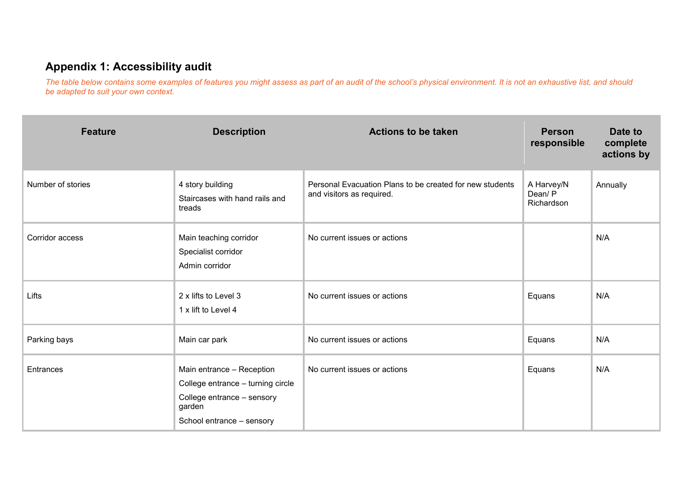## **Appendix 1: Accessibility audit**

*The table below contains some examples of features you might assess as part of an audit of the school's physical environment. It is not an exhaustive list, and should be adapted to suit your own context.*

| <b>Feature</b>    | <b>Description</b>                                                                                                                  | <b>Actions to be taken</b>                                                            | <b>Person</b><br>responsible       | Date to<br>complete<br>actions by |
|-------------------|-------------------------------------------------------------------------------------------------------------------------------------|---------------------------------------------------------------------------------------|------------------------------------|-----------------------------------|
| Number of stories | 4 story building<br>Staircases with hand rails and<br>treads                                                                        | Personal Evacuation Plans to be created for new students<br>and visitors as required. | A Harvey/N<br>Dean/P<br>Richardson | Annually                          |
| Corridor access   | Main teaching corridor<br>Specialist corridor<br>Admin corridor                                                                     | No current issues or actions                                                          |                                    | N/A                               |
| Lifts             | 2 x lifts to Level 3<br>1 x lift to Level 4                                                                                         | No current issues or actions                                                          | Equans                             | N/A                               |
| Parking bays      | Main car park                                                                                                                       | No current issues or actions                                                          | Equans                             | N/A                               |
| <b>Entrances</b>  | Main entrance - Reception<br>College entrance - turning circle<br>College entrance - sensory<br>garden<br>School entrance - sensory | No current issues or actions                                                          | Equans                             | N/A                               |